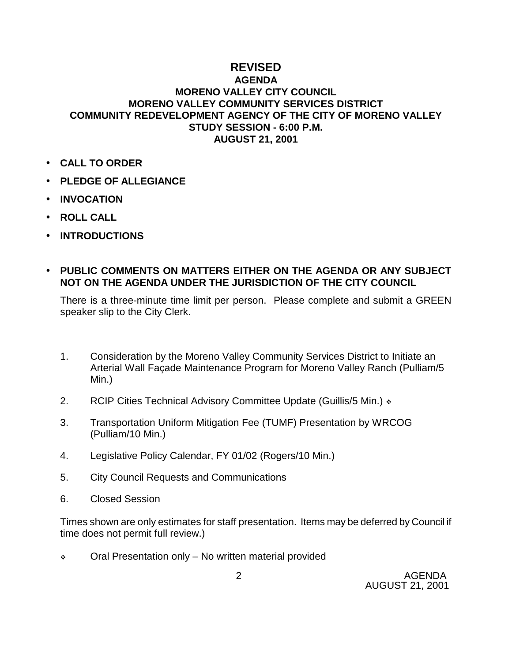## **REVISED**

## **AGENDA MORENO VALLEY CITY COUNCIL MORENO VALLEY COMMUNITY SERVICES DISTRICT COMMUNITY REDEVELOPMENT AGENCY OF THE CITY OF MORENO VALLEY STUDY SESSION - 6:00 P.M. AUGUST 21, 2001**

- **CALL TO ORDER**
- **PLEDGE OF ALLEGIANCE**
- **INVOCATION**
- **ROLL CALL**
- **INTRODUCTIONS**
- **PUBLIC COMMENTS ON MATTERS EITHER ON THE AGENDA OR ANY SUBJECT NOT ON THE AGENDA UNDER THE JURISDICTION OF THE CITY COUNCIL**

There is a three-minute time limit per person. Please complete and submit a GREEN speaker slip to the City Clerk.

- 1. Consideration by the Moreno Valley Community Services District to Initiate an Arterial Wall Façade Maintenance Program for Moreno Valley Ranch (Pulliam/5 Min.)
- 2. RCIP Cities Technical Advisory Committee Update (Guillis/5 Min.)  $\cdot$
- 3. Transportation Uniform Mitigation Fee (TUMF) Presentation by WRCOG (Pulliam/10 Min.)
- 4. Legislative Policy Calendar, FY 01/02 (Rogers/10 Min.)
- 5. City Council Requests and Communications
- 6. Closed Session

Times shown are only estimates for staff presentation. Items may be deferred by Council if time does not permit full review.)

 $\div$  Oral Presentation only – No written material provided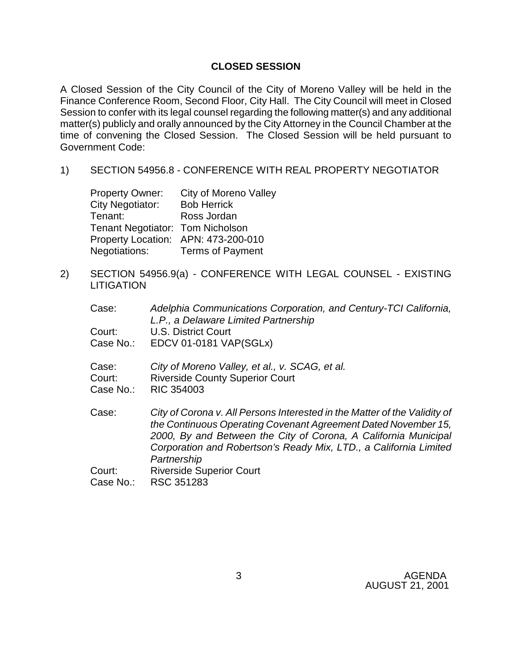## **CLOSED SESSION**

A Closed Session of the City Council of the City of Moreno Valley will be held in the Finance Conference Room, Second Floor, City Hall. The City Council will meet in Closed Session to confer with its legal counsel regarding the following matter(s) and any additional matter(s) publicly and orally announced by the City Attorney in the Council Chamber at the time of convening the Closed Session. The Closed Session will be held pursuant to Government Code:

1) SECTION 54956.8 - CONFERENCE WITH REAL PROPERTY NEGOTIATOR

| <b>Property Owner:</b>           | City of Moreno Valley               |
|----------------------------------|-------------------------------------|
| <b>City Negotiator:</b>          | <b>Bob Herrick</b>                  |
| Tenant:                          | Ross Jordan                         |
| Tenant Negotiator: Tom Nicholson |                                     |
|                                  | Property Location: APN: 473-200-010 |
| Negotiations:                    | <b>Terms of Payment</b>             |

2) SECTION 54956.9(a) - CONFERENCE WITH LEGAL COUNSEL - EXISTING **LITIGATION** 

| Case:     | Adelphia Communications Corporation, and Century-TCI California,<br>L.P., a Delaware Limited Partnership                                                                                                                                                                            |
|-----------|-------------------------------------------------------------------------------------------------------------------------------------------------------------------------------------------------------------------------------------------------------------------------------------|
| Court:    | U.S. District Court                                                                                                                                                                                                                                                                 |
| Case No.: | <b>EDCV 01-0181 VAP(SGLx)</b>                                                                                                                                                                                                                                                       |
| Case:     | City of Moreno Valley, et al., v. SCAG, et al.                                                                                                                                                                                                                                      |
| Court:    | <b>Riverside County Superior Court</b>                                                                                                                                                                                                                                              |
| Case No.: | RIC 354003                                                                                                                                                                                                                                                                          |
| Case:     | City of Corona v. All Persons Interested in the Matter of the Validity of<br>the Continuous Operating Covenant Agreement Dated November 15,<br>2000, By and Between the City of Corona, A California Municipal<br>Corporation and Robertson's Ready Mix, LTD., a California Limited |
|           | Partnership                                                                                                                                                                                                                                                                         |
| Court:    | <b>Riverside Superior Court</b>                                                                                                                                                                                                                                                     |
| Case No.: | RSC 351283                                                                                                                                                                                                                                                                          |